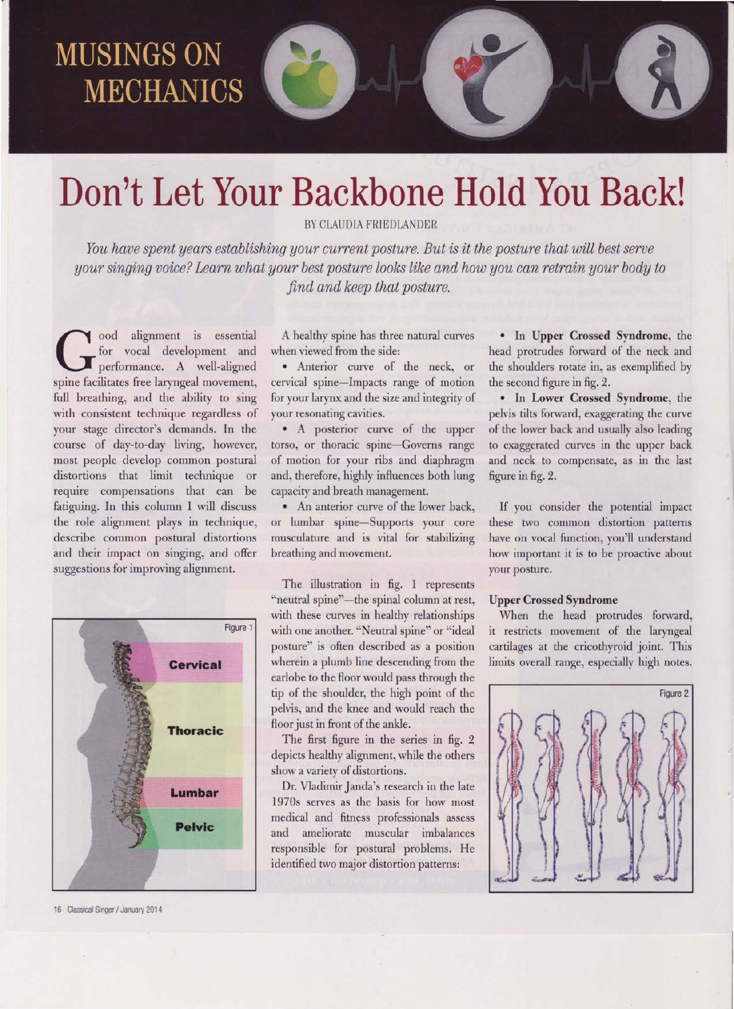## **MUSINGS ON MECHANICS**

## Don't Let Your Backbone Hold You Back!

BY CLAUDIA FRIEDLANDER

You have spent years establishing your current posture. But is it the posture that will best serve your singing voice? Learn what your best posture looks like and how you can retrain your body to  $find$  and keep that posture.

 $\log$  ood alignment is essential for vocal development and performance. A well-aligned spine facilitates free laryngeal movement, full breathing, and the ability to sing with consistent technique regardless of your stage director's demands. In the course of day-to-day living, however, most people develop common postural distortions that limit technique or require compensations that can be fatiguing. In this column I will discuss the role alignment plays in technique, describe common postural distortions and their impact on singing, and offer suggestions for improving alignment.



16 Classical Singer/ January 2014

A healthy spine has three natural curves when viewed fiom the side:

. Anterior curve of the neck, or cervical spine-Impacts range of motion for your laryrx and the size and integrity of your resonating cavities.

. A posterior curye of the upper torso, or thoracic spine-Governs range of motion for your ribs and diaphragm and, therefore, highly influences both lung capacity and breath management.

. An anterior curve of the lower back, or lumbar spine-Supports your core musculature and is vital for stabilizing breathing and movement.

The illustration in fig. 1 represents "neutral spine"--the spinal column at rest, with these curves in healthy relationships with one another. "Neutral spine" or "ideal posture" is often described as a position wherein a plumb line descending from the earlobe to the floor would pass through the tip of the shoulder, the high point of the pelvis, and the knee and would reach the floor just in front of the ankle.

The first figure in the series in fig. 2 depicts healthy alignment, while the others show a variety of distortions.

Dr. Vladimir Janda's research in the late 1970s serves as the basis for how most medical and fitness professionals assess and ameliorate muscular imbalances responsible for posrural problems. He identified two major distortion patterns:

. In Upper Crossed Syndrome, the head protrudes forward of the neck and the shoulders rotate in, as exemplified by the second figure in fig.2.

. In Lower Crossed Syndrome, the pelvis tilts forward, exaggerating the curve of the lower back and usually also leading to exaggerated curves in the upper back and neck to compensate, as in the last figure in fig. 2.

If you consider the potential impact these two common distortion patterns have on vocal function, you'll understand how important it is to be proactive about your posture.

#### Upper Crossed Syndrome

When the head protrudes forward, it restricts movement of the laryngeal cartilages at the cricothyroid joint. This limits overall range, especially high notes.

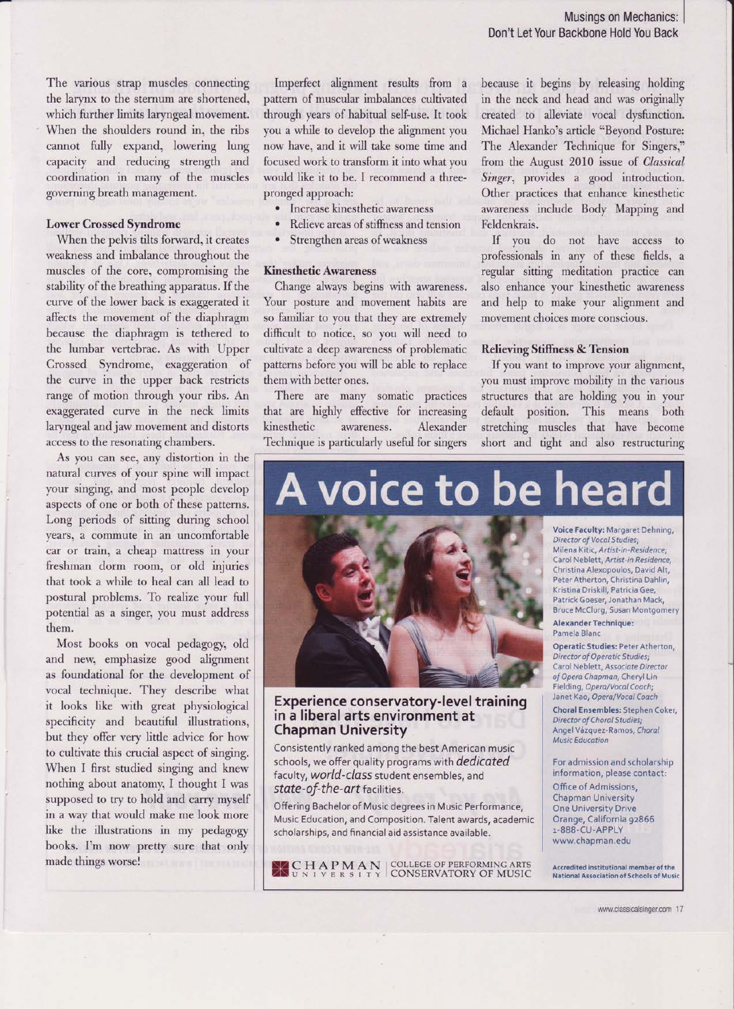The various strap muscles connecting the larynx to the sternum are shortened, which further limits laryngeal movement. When the shoulders round in, the ribs cannot fully expand, lowering lung capacity and reducing strength and coordination in many of the muscles governing breath management.

### Lower Crossed Syndrome

When the pelvis tilts forward, it creates weakness and imbalance throughout the muscles of the core, compromising the stability of the breathing apparatus. If the curve of the lower back is exaggerated it affects the movement of the diaphragm because the diaphragm is tethered to the lumbar vertebrae. As with Upper Crossed Syndrome, exaggeration of the curve in the upper back restricts range of motion through your ribs. An exaggerated curve in the neck limits laryngeal and jaw movement and distorts access to the resonating chambers.

As you can see, any distortion in the natural curyes of your spine will impact your singing, and most people develop aspects of one or both of these patterns. Long periods of sitting during school years, a commute in an uncomfortable car or train, a cheap mattress in your freshman dorm room, or old injuries that took a while to heal can all lead to postural problems. To realize your full potential as a singer, you must address them.

Most books on vocal pedagogy, old and new, emphasize good alignment as foundational for the development of vocal technique. They describe what it looks like with great physiological specificity and beautiful illustrations, but they offer very little advice for how to cultivate this crucial aspect of singing. When I first studied singing and knew nothing about anatomy, I thought I was supposed to try to hold and carry myself in a way that would make me look more like the illustrations in my pedagogy books. I'm now pretty sure that only made things worse!

Imperfect alignment results fiom a pattern of muscular imbalances cultivated through years of habitual self-use. It took you a while to develop the alignment you now have. and it will take some time and focused work to transform it into what you would like it to be. I recommend a threepronged approach:

- Increase kinesthetic awareness
- Relieve areas of stiffness and tension
- Strengthen areas of weakness

### Kinesthetic Awareness

Change always begins with awareness. Your posture and movement habits are so familiar to you that they are extremely difficult to notice, so you will need to cultivate a deep awareness of problematic patterns before you will be able to replace them with better ones.

There are many somatic practices that are highly effective for increasing kinesthetic awareness. Alexander Technique is particularly useful for singers because it begins by releasing holding in the neck and head and was originally created to alleviate vocal dysfunction. Michael Hanko's article "Beyond Posture: The Alexander Technique for Singers," from the August 2010 issue of Classical Singer, provides a good introduction. Other practices that enhance kinesthetic awareness include Body Mapping and Feldenkrais.

If you do not have access to professionals in any of these fields, a regular sitting meditation practice can also enhance your kinesthetic awareness and help to make your alignment and movement choices more conscious.

### Relieving Stiffness & Tension

If you want to improve your alignment, you must improve mobility in the various structures that are holding you in your default position. This means both stretching muscles that have become short and tight and also restructuring

# **A voice to be heard**



### Experience conservatory-level training in a liberal arts environment at Chapman University

Consistently ranked among the best American music schools, we offer quality programs with dedicated faculty, world-class student ensembles, and state-of-the-art facilities.

Offering Bachelor of Music degrees in Music Performance, Music Education, and Composition. Talent awards, academic scholarships, and financial aid assistance available.

C HAP M AN COLLEGE OF PERFORMING ARTS U N I V E R S I Ty CONSERVATORYOFMUSIC

Voice Faculty: Margaret Dehning, Director of Vocal Studies;<br>Milena Kitic, Artist-in-Residence; Carol Neblett, Artist-in Residence, Christina Alexopoulos, David Alt, Peter Atherton, Christina Dahlin, Kristina Driskill, Patricia Gee, Patrick Goeser, Jonathan Mack,

### .<br>Bruce McClurg, Susan Montgomery<br>**Alexander Technique:** Pamela Blanc

Operatic Studies: Peter Atherton, Director of Operatic Studies; Carol Neblett, Associate Director of Opera Chapman, Cheryl Lin Fielding, Opera/Vocal Coach; Janet Kao, Opera/Vocal Coach

Choral Ensembles: Stephen Coker, Director of Choral Studies; Angel Vdzquez-Ramos, Choral Music Education

For admission and scholarship information, please contact:

Office of Admissions, Chapman University One University Drive Orange, California 92865 1-888-CU-APPLY www.chapman.edu

Accredited institutional member of the National Association of Schools of Music